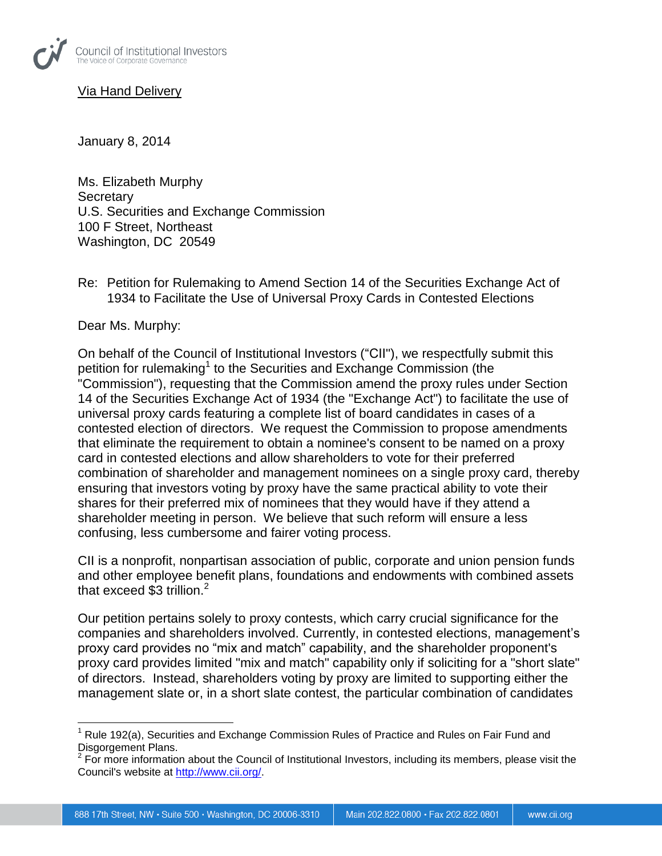

**Via Hand Deliverv** 

January 8, 2014

Ms. Elizabeth Murphy **Secretary** U.S. Securities and Exchange Commission 100 F Street, Northeast Washington, DC 20549

Re: Petition for Rulemaking to Amend Section 14 of the Securities Exchange Act of 1934 to Facilitate the Use of Universal Proxy Cards in Contested Elections

Dear Ms. Murphy:

 $\overline{a}$ 

On behalf of the Council of Institutional Investors ("CII"), we respectfully submit this petition for rulemaking<sup>1</sup> to the Securities and Exchange Commission (the "Commission"), requesting that the Commission amend the proxy rules under Section 14 of the Securities Exchange Act of 1934 (the "Exchange Act") to facilitate the use of universal proxy cards featuring a complete list of board candidates in cases of a contested election of directors. We request the Commission to propose amendments that eliminate the requirement to obtain a nominee's consent to be named on a proxy card in contested elections and allow shareholders to vote for their preferred combination of shareholder and management nominees on a single proxy card, thereby ensuring that investors voting by proxy have the same practical ability to vote their shares for their preferred mix of nominees that they would have if they attend a shareholder meeting in person. We believe that such reform will ensure a less confusing, less cumbersome and fairer voting process.

CII is a nonprofit, nonpartisan association of public, corporate and union pension funds and other employee benefit plans, foundations and endowments with combined assets that exceed  $$3$  trillion.<sup>2</sup>

Our petition pertains solely to proxy contests, which carry crucial significance for the companies and shareholders involved. Currently, in contested elections, management's proxy card provides no "mix and match" capability, and the shareholder proponent's proxy card provides limited "mix and match" capability only if soliciting for a "short slate" of directors. Instead, shareholders voting by proxy are limited to supporting either the management slate or, in a short slate contest, the particular combination of candidates

 $<sup>1</sup>$  Rule 192(a), Securities and Exchange Commission Rules of Practice and Rules on Fair Fund and</sup> Disgorgement Plans.

 $2$  For more information about the Council of Institutional Investors, including its members, please visit the Council's website at [http://www.cii.org/.](http://www.cii.org/)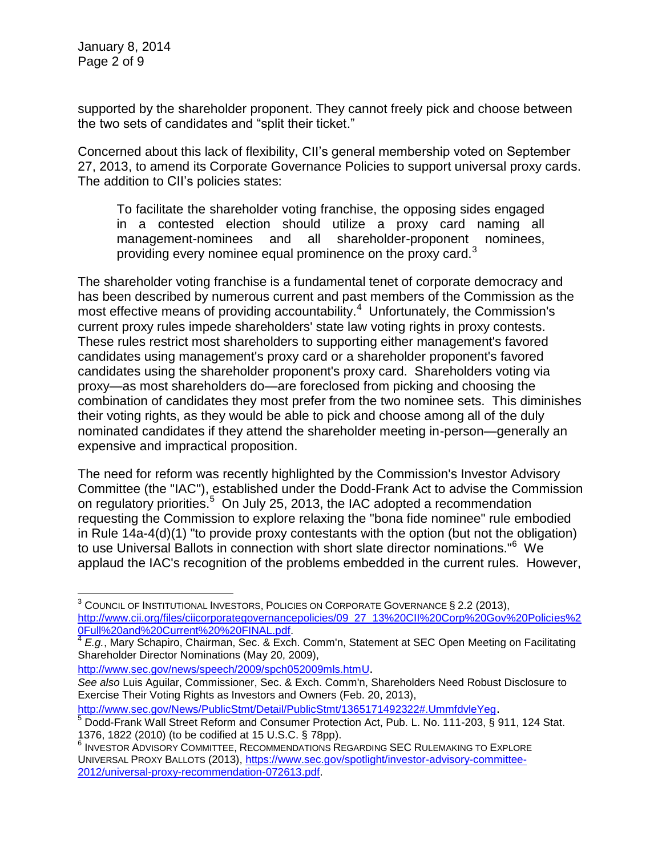$\overline{a}$ 

supported by the shareholder proponent. They cannot freely pick and choose between the two sets of candidates and "split their ticket."

Concerned about this lack of flexibility, CII's general membership voted on September 27, 2013, to amend its Corporate Governance Policies to support universal proxy cards. The addition to CII's policies states:

To facilitate the shareholder voting franchise, the opposing sides engaged in a contested election should utilize a proxy card naming all management-nominees and all shareholder-proponent nominees, providing every nominee equal prominence on the proxy card. $3$ 

The shareholder voting franchise is a fundamental tenet of corporate democracy and has been described by numerous current and past members of the Commission as the most effective means of providing accountability. $4$  Unfortunately, the Commission's current proxy rules impede shareholders' state law voting rights in proxy contests. These rules restrict most shareholders to supporting either management's favored candidates using management's proxy card or a shareholder proponent's favored candidates using the shareholder proponent's proxy card. Shareholders voting via proxy—as most shareholders do—are foreclosed from picking and choosing the combination of candidates they most prefer from the two nominee sets. This diminishes their voting rights, as they would be able to pick and choose among all of the duly nominated candidates if they attend the shareholder meeting in-person—generally an expensive and impractical proposition.

The need for reform was recently highlighted by the Commission's Investor Advisory Committee (the "IAC"), established under the Dodd-Frank Act to advise the Commission on regulatory priorities.<sup>5</sup> On July 25, 2013, the IAC adopted a recommendation requesting the Commission to explore relaxing the "bona fide nominee" rule embodied in Rule 14a-4(d)(1) "to provide proxy contestants with the option (but not the obligation) to use Universal Ballots in connection with short slate director nominations."<sup>6</sup> We applaud the IAC's recognition of the problems embedded in the current rules. However,

[http://www.sec.gov/news/speech/2009/spch052009mls.htmU](http://www.sec.gov/news/speech/2009/spch052009mls.htm).

<http://www.sec.gov/News/PublicStmt/Detail/PublicStmt/1365171492322#.UmmfdvleYeg>.

<sup>3</sup> COUNCIL OF INSTITUTIONAL INVESTORS, POLICIES ON CORPORATE GOVERNANCE § 2.2 (2013), [http://www.cii.org/files/ciicorporategovernancepolicies/09\\_27\\_13%20CII%20Corp%20Gov%20Policies%2](http://www.cii.org/files/ciicorporategovernancepolicies/09_27_13%20CII%20Corp%20Gov%20Policies%20Full%20and%20Current%20%20FINAL.pdf) [0Full%20and%20Current%20%20FINAL.pdf.](http://www.cii.org/files/ciicorporategovernancepolicies/09_27_13%20CII%20Corp%20Gov%20Policies%20Full%20and%20Current%20%20FINAL.pdf)

<sup>4</sup> *E.g.*, Mary Schapiro, Chairman, Sec. & Exch. Comm'n, Statement at SEC Open Meeting on Facilitating Shareholder Director Nominations (May 20, 2009),

*See also* Luis Aguilar, Commissioner, Sec. & Exch. Comm'n, Shareholders Need Robust Disclosure to Exercise Their Voting Rights as Investors and Owners (Feb. 20, 2013),

<sup>&</sup>lt;sup>5</sup> Dodd-Frank Wall Street Reform and Consumer Protection Act, Pub. L. No. 111-203, § 911, 124 Stat. 1376, 1822 (2010) (to be codified at 15 U.S.C. § 78pp).

<sup>6</sup> INVESTOR ADVISORY COMMITTEE, RECOMMENDATIONS REGARDING SEC RULEMAKING TO EXPLORE UNIVERSAL PROXY BALLOTS (2013), [https://www.sec.gov/spotlight/investor-advisory-committee-](https://www.sec.gov/spotlight/investor-advisory-committee-2012/universal-proxy-recommendation-072613.pdf)[2012/universal-proxy-recommendation-072613.pdf.](https://www.sec.gov/spotlight/investor-advisory-committee-2012/universal-proxy-recommendation-072613.pdf)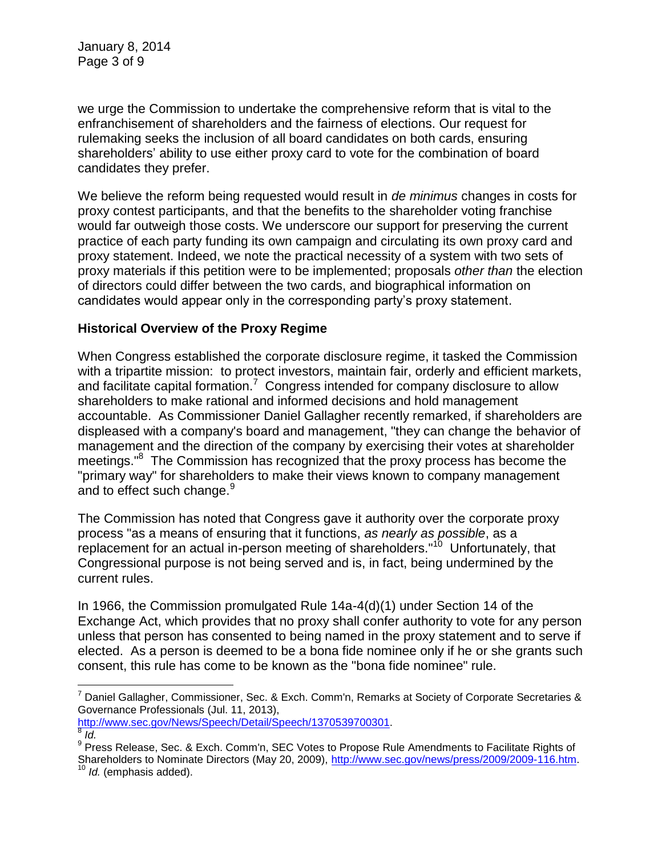we urge the Commission to undertake the comprehensive reform that is vital to the enfranchisement of shareholders and the fairness of elections. Our request for rulemaking seeks the inclusion of all board candidates on both cards, ensuring shareholders' ability to use either proxy card to vote for the combination of board candidates they prefer.

We believe the reform being requested would result in *de minimus* changes in costs for proxy contest participants, and that the benefits to the shareholder voting franchise would far outweigh those costs. We underscore our support for preserving the current practice of each party funding its own campaign and circulating its own proxy card and proxy statement. Indeed, we note the practical necessity of a system with two sets of proxy materials if this petition were to be implemented; proposals *other than* the election of directors could differ between the two cards, and biographical information on candidates would appear only in the corresponding party's proxy statement.

## **Historical Overview of the Proxy Regime**

When Congress established the corporate disclosure regime, it tasked the Commission with a tripartite mission: to protect investors, maintain fair, orderly and efficient markets, and facilitate capital formation.<sup>7</sup> Congress intended for company disclosure to allow shareholders to make rational and informed decisions and hold management accountable. As Commissioner Daniel Gallagher recently remarked, if shareholders are displeased with a company's board and management, "they can change the behavior of management and the direction of the company by exercising their votes at shareholder meetings."<sup>8</sup> The Commission has recognized that the proxy process has become the "primary way" for shareholders to make their views known to company management and to effect such change.<sup>9</sup>

The Commission has noted that Congress gave it authority over the corporate proxy process "as a means of ensuring that it functions, *as nearly as possible*, as a replacement for an actual in-person meeting of shareholders."<sup>10</sup> Unfortunately, that Congressional purpose is not being served and is, in fact, being undermined by the current rules.

In 1966, the Commission promulgated Rule 14a-4(d)(1) under Section 14 of the Exchange Act, which provides that no proxy shall confer authority to vote for any person unless that person has consented to being named in the proxy statement and to serve if elected. As a person is deemed to be a bona fide nominee only if he or she grants such consent, this rule has come to be known as the "bona fide nominee" rule.

 $\overline{a}$ 

<sup>&</sup>lt;sup>7</sup> Daniel Gallagher, Commissioner, Sec. & Exch. Comm'n, Remarks at Society of Corporate Secretaries & Governance Professionals (Jul. 11, 2013),

[http://www.sec.gov/News/Speech/Detail/Speech/1370539700301.](http://www.sec.gov/News/Speech/Detail/Speech/1370539700301)

<sup>8</sup> *Id.*

<sup>&</sup>lt;sup>9</sup> Press Release, Sec. & Exch. Comm'n, SEC Votes to Propose Rule Amendments to Facilitate Rights of Shareholders to Nominate Directors (May 20, 2009), [http://www.sec.gov/news/press/2009/2009-116.htm.](http://www.sec.gov/news/press/2009/2009-116.htm) *Id.* (emphasis added).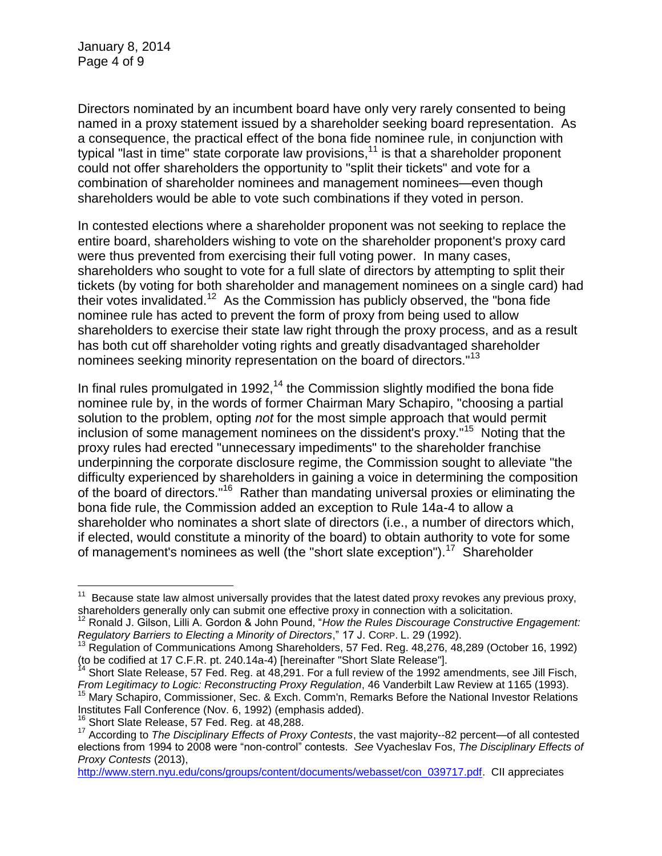January 8, 2014 Page 4 of 9

Directors nominated by an incumbent board have only very rarely consented to being named in a proxy statement issued by a shareholder seeking board representation. As a consequence, the practical effect of the bona fide nominee rule, in conjunction with typical "last in time" state corporate law provisions,<sup>11</sup> is that a shareholder proponent could not offer shareholders the opportunity to "split their tickets" and vote for a combination of shareholder nominees and management nominees—even though shareholders would be able to vote such combinations if they voted in person.

In contested elections where a shareholder proponent was not seeking to replace the entire board, shareholders wishing to vote on the shareholder proponent's proxy card were thus prevented from exercising their full voting power. In many cases, shareholders who sought to vote for a full slate of directors by attempting to split their tickets (by voting for both shareholder and management nominees on a single card) had their votes invalidated.<sup>12</sup> As the Commission has publicly observed, the "bona fide nominee rule has acted to prevent the form of proxy from being used to allow shareholders to exercise their state law right through the proxy process, and as a result has both cut off shareholder voting rights and greatly disadvantaged shareholder nominees seeking minority representation on the board of directors."<sup>13</sup>

In final rules promulgated in 1992,<sup>14</sup> the Commission slightly modified the bona fide nominee rule by, in the words of former Chairman Mary Schapiro, "choosing a partial solution to the problem, opting *not* for the most simple approach that would permit inclusion of some management nominees on the dissident's proxy."<sup>15</sup> Noting that the proxy rules had erected "unnecessary impediments" to the shareholder franchise underpinning the corporate disclosure regime, the Commission sought to alleviate "the difficulty experienced by shareholders in gaining a voice in determining the composition of the board of directors."<sup>16</sup> Rather than mandating universal proxies or eliminating the bona fide rule, the Commission added an exception to Rule 14a-4 to allow a shareholder who nominates a short slate of directors (i.e., a number of directors which, if elected, would constitute a minority of the board) to obtain authority to vote for some of management's nominees as well (the "short slate exception").<sup>17</sup> Shareholder

 $\overline{a}$ 

 $11$  Because state law almost universally provides that the latest dated proxy revokes any previous proxy, shareholders generally only can submit one effective proxy in connection with a solicitation.

<sup>12</sup> Ronald J. Gilson, Lilli A. Gordon & John Pound, "*How the Rules Discourage Constructive Engagement: Regulatory Barriers to Electing a Minority of Directors*," 17 J. CORP. L. 29 (1992).

<sup>&</sup>lt;sup>13</sup> Regulation of Communications Among Shareholders, 57 Fed. Reg. 48,276, 48,289 (October 16, 1992) (to be codified at 17 C.F.R. pt. 240.14a-4) [hereinafter "Short Slate Release"].

 $14$  Short Slate Release, 57 Fed. Reg. at  $48,291$ . For a full review of the 1992 amendments, see Jill Fisch, *From Legitimacy to Logic: Reconstructing Proxy Regulation*, 46 Vanderbilt Law Review at 1165 (1993).

<sup>&</sup>lt;sup>15</sup> Mary Schapiro, Commissioner, Sec. & Exch. Comm'n, Remarks Before the National Investor Relations Institutes Fall Conference (Nov. 6, 1992) (emphasis added).

<sup>&</sup>lt;sup>16</sup> Short Slate Release, 57 Fed. Reg. at 48,288.

<sup>17</sup> According to *The Disciplinary Effects of Proxy Contests*, the vast majority--82 percent—of all contested elections from 1994 to 2008 were "non-control" contests. *See* Vyacheslav Fos, *The Disciplinary Effects of Proxy Contests* (2013),

[http://www.stern.nyu.edu/cons/groups/content/documents/webasset/con\\_039717.pdf.](http://www.stern.nyu.edu/cons/groups/content/documents/webasset/con_039717.pdf) CII appreciates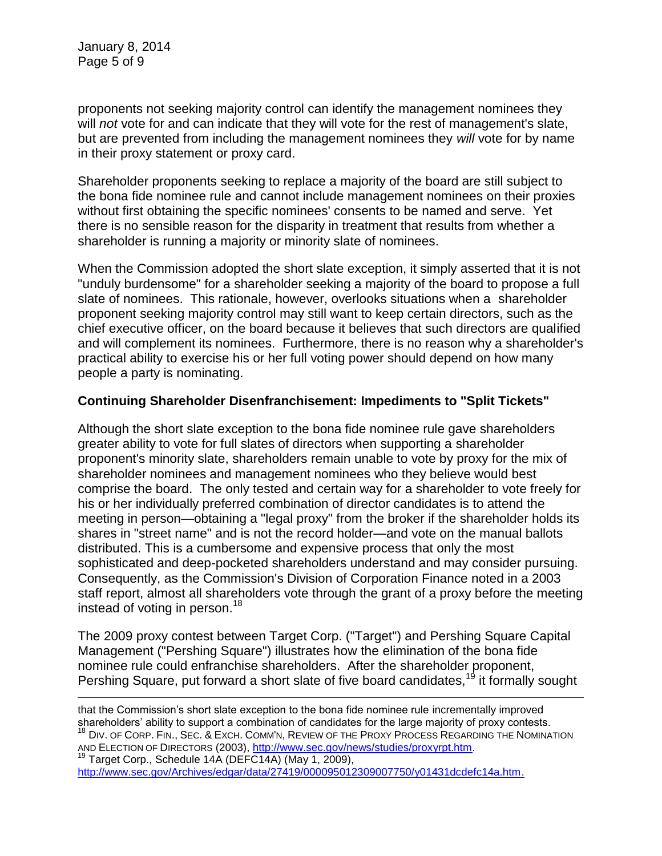January 8, 2014 Page 5 of 9

proponents not seeking majority control can identify the management nominees they will *not* vote for and can indicate that they will vote for the rest of management's slate, but are prevented from including the management nominees they *will* vote for by name in their proxy statement or proxy card.

Shareholder proponents seeking to replace a majority of the board are still subject to the bona fide nominee rule and cannot include management nominees on their proxies without first obtaining the specific nominees' consents to be named and serve. Yet there is no sensible reason for the disparity in treatment that results from whether a shareholder is running a majority or minority slate of nominees.

When the Commission adopted the short slate exception, it simply asserted that it is not "unduly burdensome" for a shareholder seeking a majority of the board to propose a full slate of nominees. This rationale, however, overlooks situations when a shareholder proponent seeking majority control may still want to keep certain directors, such as the chief executive officer, on the board because it believes that such directors are qualified and will complement its nominees. Furthermore, there is no reason why a shareholder's practical ability to exercise his or her full voting power should depend on how many people a party is nominating.

## **Continuing Shareholder Disenfranchisement: Impediments to "Split Tickets"**

Although the short slate exception to the bona fide nominee rule gave shareholders greater ability to vote for full slates of directors when supporting a shareholder proponent's minority slate, shareholders remain unable to vote by proxy for the mix of shareholder nominees and management nominees who they believe would best comprise the board. The only tested and certain way for a shareholder to vote freely for his or her individually preferred combination of director candidates is to attend the meeting in person—obtaining a "legal proxy" from the broker if the shareholder holds its shares in "street name" and is not the record holder—and vote on the manual ballots distributed. This is a cumbersome and expensive process that only the most sophisticated and deep-pocketed shareholders understand and may consider pursuing. Consequently, as the Commission's Division of Corporation Finance noted in a 2003 staff report, almost all shareholders vote through the grant of a proxy before the meeting instead of voting in person.<sup>18</sup>

The 2009 proxy contest between Target Corp. ("Target") and Pershing Square Capital Management ("Pershing Square") illustrates how the elimination of the bona fide nominee rule could enfranchise shareholders. After the shareholder proponent, Pershing Square, put forward a short slate of five board candidates.<sup>19</sup> it formally sought

 $\overline{a}$ that the Commission's short slate exception to the bona fide nominee rule incrementally improved shareholders' ability to support a combination of candidates for the large majority of proxy contests. <sup>18</sup> DIV. OF CORP. FIN., SEC. & EXCH. COMM'N, REVIEW OF THE PROXY PROCESS REGARDING THE NOMINATION AND ELECTION OF DIRECTORS (2003), <u>http://www.sec.gov/news/studies/proxyrpt.htm</u>.  $19$  Target Corp., Schedule 14A (DEFC14A) (May 1, 2009),

[http://www.sec.gov/Archives/edgar/data/27419/000095012309007750/y01431dcdefc14a.htm.](http://www.sec.gov/Archives/edgar/data/27419/000095012309007750/y01431dcdefc14a.htm)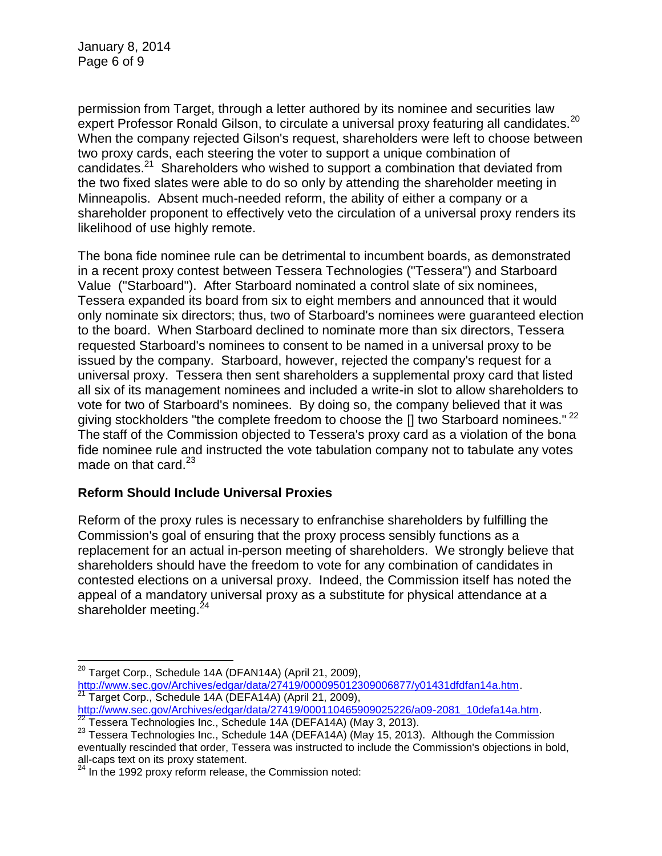permission from Target, through a letter authored by its nominee and securities law expert Professor Ronald Gilson, to circulate a universal proxy featuring all candidates.<sup>20</sup> When the company rejected Gilson's request, shareholders were left to choose between two proxy cards, each steering the voter to support a unique combination of candidates.<sup>21</sup> Shareholders who wished to support a combination that deviated from the two fixed slates were able to do so only by attending the shareholder meeting in Minneapolis. Absent much-needed reform, the ability of either a company or a shareholder proponent to effectively veto the circulation of a universal proxy renders its likelihood of use highly remote.

The bona fide nominee rule can be detrimental to incumbent boards, as demonstrated in a recent proxy contest between Tessera Technologies ("Tessera") and Starboard Value ("Starboard"). After Starboard nominated a control slate of six nominees, Tessera expanded its board from six to eight members and announced that it would only nominate six directors; thus, two of Starboard's nominees were guaranteed election to the board. When Starboard declined to nominate more than six directors, Tessera requested Starboard's nominees to consent to be named in a universal proxy to be issued by the company. Starboard, however, rejected the company's request for a universal proxy. Tessera then sent shareholders a supplemental proxy card that listed all six of its management nominees and included a write-in slot to allow shareholders to vote for two of Starboard's nominees. By doing so, the company believed that it was giving stockholders "the complete freedom to choose the [] two Starboard nominees."<sup>22</sup> The staff of the Commission objected to Tessera's proxy card as a violation of the bona fide nominee rule and instructed the vote tabulation company not to tabulate any votes made on that card. $^{23}$ 

## **Reform Should Include Universal Proxies**

 $\overline{a}$ 

Reform of the proxy rules is necessary to enfranchise shareholders by fulfilling the Commission's goal of ensuring that the proxy process sensibly functions as a replacement for an actual in-person meeting of shareholders. We strongly believe that shareholders should have the freedom to vote for any combination of candidates in contested elections on a universal proxy. Indeed, the Commission itself has noted the appeal of a mandatory universal proxy as a substitute for physical attendance at a shareholder meeting.<sup>24</sup>

 $20$  Target Corp., Schedule 14A (DFAN14A) (April 21, 2009), [http://www.sec.gov/Archives/edgar/data/27419/000095012309006877/y01431dfdfan14a.htm.](http://www.sec.gov/Archives/edgar/data/27419/000095012309006877/y01431dfdfan14a.htm) <sup>1</sup> Target Corp., Schedule 14A (DEFA14A) (April 21, 2009),

[http://www.sec.gov/Archives/edgar/data/27419/000110465909025226/a09-2081\\_10defa14a.htm.](http://www.sec.gov/Archives/edgar/data/27419/000110465909025226/a09-2081_10defa14a.htm) <sup>22</sup> Tessera Technologies Inc., Schedule 14A (DEFA14A) (May 3, 2013).

<sup>23</sup> Tessera Technologies Inc., Schedule 14A (DEFA14A) (May 15, 2013). Although the Commission eventually rescinded that order, Tessera was instructed to include the Commission's objections in bold, all-caps text on its proxy statement.

 $24$  In the 1992 proxy reform release, the Commission noted: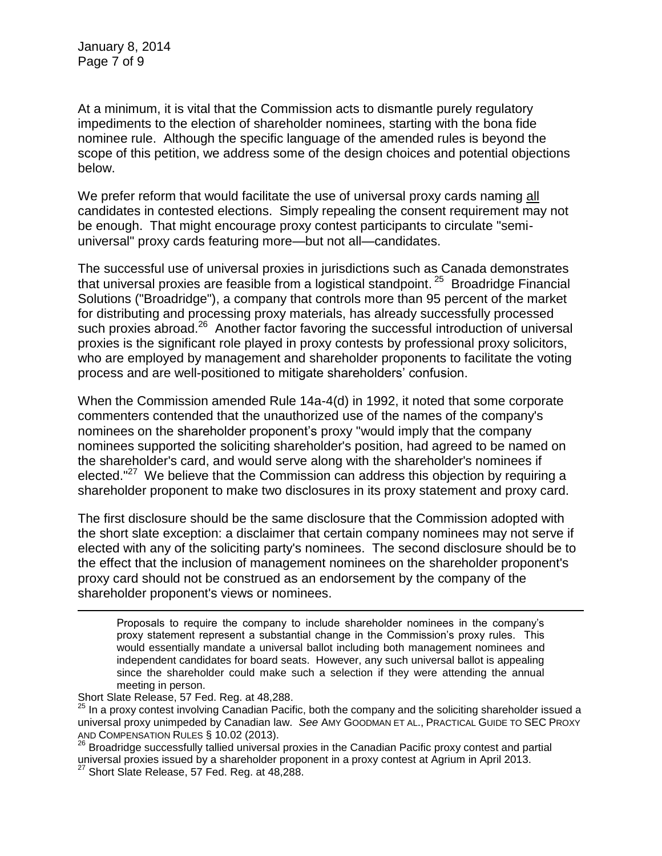January 8, 2014 Page 7 of 9

At a minimum, it is vital that the Commission acts to dismantle purely regulatory impediments to the election of shareholder nominees, starting with the bona fide nominee rule. Although the specific language of the amended rules is beyond the scope of this petition, we address some of the design choices and potential objections below.

We prefer reform that would facilitate the use of universal proxy cards naming all candidates in contested elections. Simply repealing the consent requirement may not be enough. That might encourage proxy contest participants to circulate "semiuniversal" proxy cards featuring more—but not all—candidates.

The successful use of universal proxies in jurisdictions such as Canada demonstrates that universal proxies are feasible from a logistical standpoint.  $^{25}$  Broadridge Financial Solutions ("Broadridge"), a company that controls more than 95 percent of the market for distributing and processing proxy materials, has already successfully processed such proxies abroad.<sup>26</sup> Another factor favoring the successful introduction of universal proxies is the significant role played in proxy contests by professional proxy solicitors, who are employed by management and shareholder proponents to facilitate the voting process and are well-positioned to mitigate shareholders' confusion.

When the Commission amended Rule 14a-4(d) in 1992, it noted that some corporate commenters contended that the unauthorized use of the names of the company's nominees on the shareholder proponent's proxy "would imply that the company nominees supported the soliciting shareholder's position, had agreed to be named on the shareholder's card, and would serve along with the shareholder's nominees if elected."<sup>27</sup> We believe that the Commission can address this objection by requiring a shareholder proponent to make two disclosures in its proxy statement and proxy card.

The first disclosure should be the same disclosure that the Commission adopted with the short slate exception: a disclaimer that certain company nominees may not serve if elected with any of the soliciting party's nominees. The second disclosure should be to the effect that the inclusion of management nominees on the shareholder proponent's proxy card should not be construed as an endorsement by the company of the shareholder proponent's views or nominees.

Proposals to require the company to include shareholder nominees in the company's proxy statement represent a substantial change in the Commission's proxy rules. This would essentially mandate a universal ballot including both management nominees and independent candidates for board seats. However, any such universal ballot is appealing since the shareholder could make such a selection if they were attending the annual meeting in person.

 $\overline{a}$ 

<sup>26</sup> Broadridge successfully tallied universal proxies in the Canadian Pacific proxy contest and partial universal proxies issued by a shareholder proponent in a proxy contest at Agrium in April 2013.

Short Slate Release, 57 Fed. Reg. at 48,288.

 $25$  In a proxy contest involving Canadian Pacific, both the company and the soliciting shareholder issued a universal proxy unimpeded by Canadian law. *See* AMY GOODMAN ET AL., PRACTICAL GUIDE TO SEC PROXY AND COMPENSATION RULES § 10.02 (2013).

 $^{27}$  Short Slate Release, 57 Fed. Reg. at 48,288.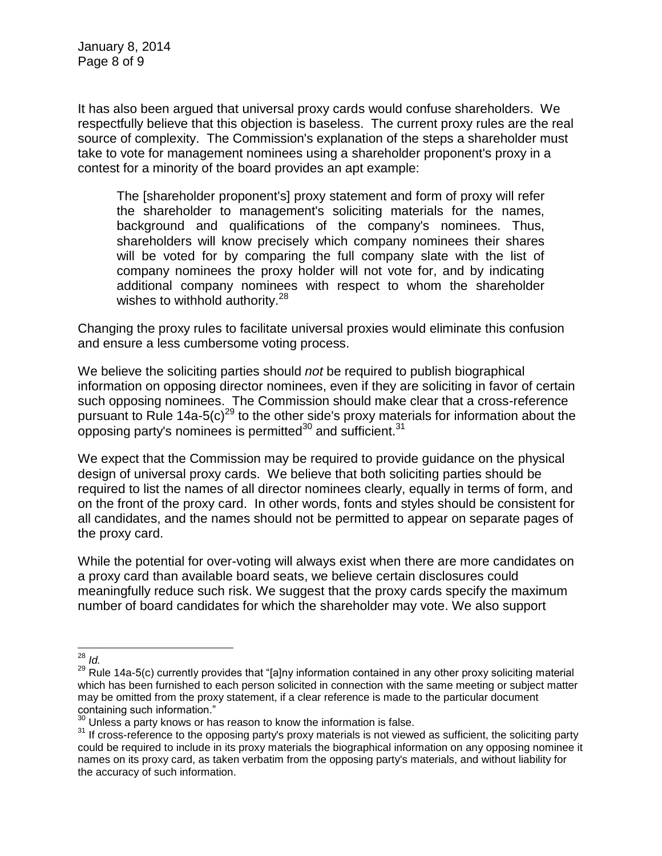It has also been argued that universal proxy cards would confuse shareholders. We respectfully believe that this objection is baseless. The current proxy rules are the real source of complexity. The Commission's explanation of the steps a shareholder must take to vote for management nominees using a shareholder proponent's proxy in a contest for a minority of the board provides an apt example:

The [shareholder proponent's] proxy statement and form of proxy will refer the shareholder to management's soliciting materials for the names, background and qualifications of the company's nominees. Thus, shareholders will know precisely which company nominees their shares will be voted for by comparing the full company slate with the list of company nominees the proxy holder will not vote for, and by indicating additional company nominees with respect to whom the shareholder wishes to withhold authority. $28$ 

Changing the proxy rules to facilitate universal proxies would eliminate this confusion and ensure a less cumbersome voting process.

We believe the soliciting parties should *not* be required to publish biographical information on opposing director nominees, even if they are soliciting in favor of certain such opposing nominees. The Commission should make clear that a cross-reference pursuant to Rule 14a-5(c)<sup>29</sup> to the other side's proxy materials for information about the opposing party's nominees is permitted<sup>30</sup> and sufficient.<sup>31</sup>

We expect that the Commission may be required to provide guidance on the physical design of universal proxy cards. We believe that both soliciting parties should be required to list the names of all director nominees clearly, equally in terms of form, and on the front of the proxy card. In other words, fonts and styles should be consistent for all candidates, and the names should not be permitted to appear on separate pages of the proxy card.

While the potential for over-voting will always exist when there are more candidates on a proxy card than available board seats, we believe certain disclosures could meaningfully reduce such risk. We suggest that the proxy cards specify the maximum number of board candidates for which the shareholder may vote. We also support

 $\overline{a}$ <sup>28</sup> *Id.*

 $29$  Rule 14a-5(c) currently provides that "[a]ny information contained in any other proxy soliciting material which has been furnished to each person solicited in connection with the same meeting or subject matter may be omitted from the proxy statement, if a clear reference is made to the particular document containing such information."

<sup>30</sup> Unless a party knows or has reason to know the information is false.

<sup>&</sup>lt;sup>31</sup> If cross-reference to the opposing party's proxy materials is not viewed as sufficient, the soliciting party could be required to include in its proxy materials the biographical information on any opposing nominee it names on its proxy card, as taken verbatim from the opposing party's materials, and without liability for the accuracy of such information.